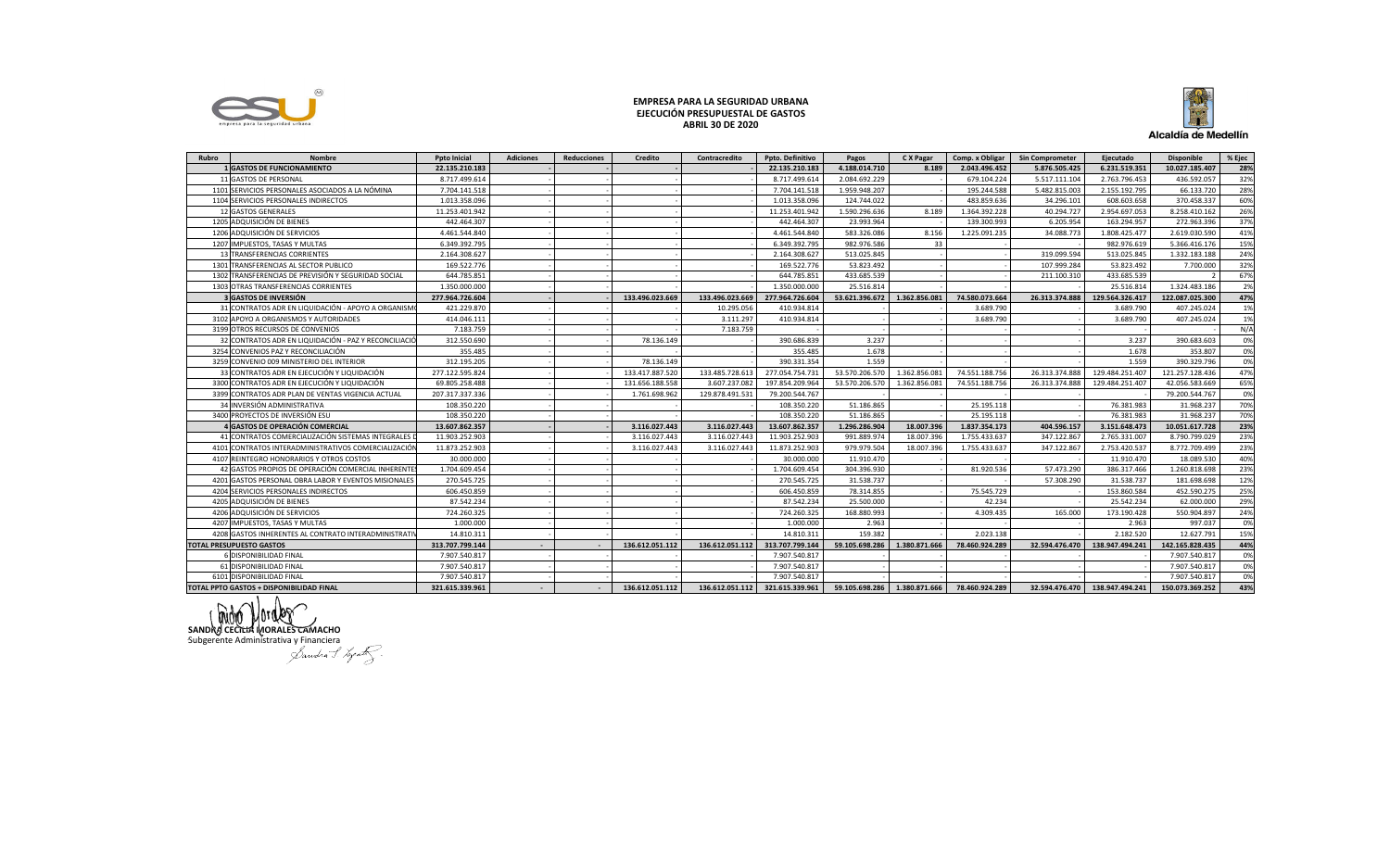

## EMPRESA PARA LA SEGURIDAD URBANA EJECUCIÓN PRESUPUESTAL DE GASTOS **ABRIL 30 DE 2020**



| Rubro                           | <b>Nombre</b>                                        | <b>Poto Inicial</b> | <b>Adiciones</b> | <b>Reducciones</b> | <b>Credito</b>  | Contracredito   | Ppto. Definitivo                                             | Pagos          | C X Pagar     | Comp. x Obligar | <b>Sin Comprometer</b> | Ejecutado                      | <b>Disponible</b> | % Ejec |
|---------------------------------|------------------------------------------------------|---------------------|------------------|--------------------|-----------------|-----------------|--------------------------------------------------------------|----------------|---------------|-----------------|------------------------|--------------------------------|-------------------|--------|
|                                 | <b>GASTOS DE FUNCIONAMIENTO</b>                      | 22.135.210.183      |                  |                    |                 |                 | 22.135.210.183                                               | 4.188.014.710  | 8.189         | 2.043.496.452   | 5.876.505.425          | 6.231.519.351                  | 10.027.185.407    | 28%    |
|                                 | 11 GASTOS DE PERSONAL                                | 8.717.499.614       |                  |                    |                 |                 | 8.717.499.614                                                | 2.084.692.229  |               | 679.104.224     | 5.517.111.104          | 2.763.796.453                  | 436.592.057       | 32%    |
|                                 | 1101 SERVICIOS PERSONALES ASOCIADOS A LA NÓMINA      | 7.704.141.518       |                  |                    |                 |                 | 7.704.141.518                                                | 1.959.948.207  |               | 195.244.588     | 5.482.815.003          | 2.155.192.795                  | 66.133.720        | 28%    |
|                                 | 1104 SERVICIOS PERSONALES INDIRECTOS                 | 1.013.358.096       |                  |                    |                 |                 | 1.013.358.096                                                | 124.744.022    |               | 483.859.636     | 34.296.101             | 608.603.658                    | 370.458.337       | 60%    |
|                                 | 12 GASTOS GENERALES                                  | 11.253.401.942      |                  |                    |                 |                 | 11.253.401.942                                               | 1.590.296.636  | 8.189         | 1.364.392.228   | 40.294.727             | 2.954.697.053                  | 8.258.410.162     | 26%    |
|                                 | 1205 ADQUISICIÓN DE BIENES                           | 442.464.307         |                  |                    |                 |                 | 442.464.307                                                  | 23.993.964     |               | 139.300.993     | 6.205.954              | 163.294.957                    | 272.963.396       | 37%    |
|                                 | 1206 ADQUISICIÓN DE SERVICIOS                        | 4.461.544.840       |                  |                    |                 |                 | 4.461.544.840                                                | 583.326.086    | 8.156         | 1.225.091.235   | 34.088.773             | 1.808.425.477                  | 2.619.030.590     | 41%    |
| 1207                            | <b>IMPUESTOS, TASAS Y MULTAS</b>                     | 6.349.392.795       |                  |                    |                 |                 | 6.349.392.795                                                | 982.976.586    | 33            |                 |                        | 982.976.619                    | 5.366.416.176     | 15%    |
|                                 | TRANSFERENCIAS CORRIENTES                            | 2.164.308.627       |                  |                    |                 |                 | 2.164.308.627                                                | 513.025.845    |               |                 | 319.099.594            | 513.025.845                    | 1.332.183.188     | 24%    |
| 1301                            | TRANSFERENCIAS AL SECTOR PUBLICO                     | 169.522.776         |                  |                    |                 |                 | 169.522.776                                                  | 53.823.492     |               |                 | 107.999.284            | 53.823.492                     | 7.700.000         | 32%    |
| 1302                            | TRANSFERENCIAS DE PREVISIÓN Y SEGURIDAD SOCIAL       | 644.785.851         |                  |                    |                 |                 | 644.785.851                                                  | 433.685.539    |               |                 | 211.100.310            | 433.685.539                    |                   | 67%    |
|                                 | 1303 OTRAS TRANSFERENCIAS CORRIENTES                 | 1.350.000.000       |                  |                    |                 |                 | 1.350.000.000                                                | 25.516.814     |               |                 |                        | 25.516.814                     | 1.324.483.186     | 2%     |
|                                 | <b>GASTOS DE INVERSIÓN</b>                           | 277.964.726.604     |                  |                    | 133.496.023.669 | 133.496.023.669 | 277.964.726.604                                              | 53.621.396.672 | 1.362.856.081 | 74.580.073.664  | 26.313.374.888         | 129.564.326.417                | 122.087.025.300   | 47%    |
|                                 | 31 CONTRATOS ADR EN LIQUIDACIÓN - APOYO A ORGANISM   | 421.229.870         |                  |                    |                 | 10.295.056      | 410.934.814                                                  |                |               | 3.689.790       |                        | 3.689.790                      | 407.245.024       | 1%     |
| 3102                            | APOYO A ORGANISMOS Y AUTORIDADES                     | 414.046.111         |                  |                    |                 | 3.111.297       | 410.934.814                                                  |                |               | 3.689.790       |                        | 3.689.790                      | 407.245.024       | 1%     |
|                                 | 3199 OTROS RECURSOS DE CONVENIOS                     | 7.183.759           |                  |                    |                 | 7.183.759       |                                                              |                |               |                 |                        |                                |                   | N/A    |
|                                 | CONTRATOS ADR EN LIQUIDACIÓN - PAZ Y RECONCILIACIO   | 312.550.690         |                  |                    | 78.136.149      |                 | 390.686.839                                                  | 3.237          |               |                 |                        | 3.237                          | 390.683.603       | 0%     |
| 3254                            | CONVENIOS PAZ Y RECONCILIACIÓN                       | 355.485             |                  |                    |                 |                 | 355.485                                                      | 1.678          |               |                 |                        | 1.678                          | 353.807           | 0%     |
|                                 | 3259 CONVENIO 009 MINISTERIO DEL INTERIOR            | 312.195.205         |                  |                    | 78.136.149      |                 | 390.331.354                                                  | 1.559          |               |                 |                        | 1.559                          | 390.329.796       | 0%     |
|                                 | 33 CONTRATOS ADR EN EJECUCIÓN Y LIQUIDACIÓN          | 277.122.595.824     |                  |                    | 133.417.887.520 | 133.485.728.613 | 277.054.754.731                                              | 53.570.206.570 | 1.362.856.081 | 74.551.188.756  | 26.313.374.888         | 129.484.251.407                | 121.257.128.436   | 47%    |
|                                 | 3300 CONTRATOS ADR EN EJECUCIÓN Y LIQUIDACIÓN        | 69.805.258.488      |                  |                    | 131.656.188.558 | 3.607.237.082   | 197.854.209.964                                              | 53.570.206.570 | 1.362.856.081 | 74.551.188.756  | 26.313.374.888         | 129.484.251.407                | 42.056.583.669    | 65%    |
| 3399                            | CONTRATOS ADR PLAN DE VENTAS VIGENCIA ACTUAL         | 207.317.337.336     |                  |                    | 1.761.698.962   | 129.878.491.531 | 79.200.544.767                                               |                |               |                 |                        |                                | 79.200.544.767    | 0%     |
|                                 | 34 INVERSIÓN ADMINISTRATIVA                          | 108.350.220         |                  |                    |                 |                 | 108.350.220                                                  | 51.186.865     |               | 25.195.118      |                        | 76.381.983                     | 31.968.237        | 70%    |
|                                 | 3400 PROYECTOS DE INVERSIÓN ESU                      | 108.350.220         |                  |                    |                 |                 | 108.350.220                                                  | 51.186.865     |               | 25.195.118      |                        | 76.381.983                     | 31.968.237        | 70%    |
|                                 | GASTOS DE OPERACIÓN COMERCIAL                        | 13.607.862.357      |                  |                    | 3.116.027.443   | 3.116.027.443   | 13.607.862.357                                               | 1.296.286.904  | 18.007.396    | 1.837.354.173   | 404.596.157            | 3.151.648.473                  | 10.051.617.728    | 23%    |
|                                 | 41 CONTRATOS COMERCIALIZACIÓN SISTEMAS INTEGRALES    | 11.903.252.903      |                  |                    | 3.116.027.443   | 3.116.027.443   | 11.903.252.903                                               | 991.889.974    | 18.007.396    | 1.755.433.637   | 347.122.867            | 2.765.331.007                  | 8.790.799.029     | 23%    |
|                                 | 4101 CONTRATOS INTERADMINISTRATIVOS COMERCIALIZACIÓ  | 11.873.252.903      |                  |                    | 3.116.027.443   | 3.116.027.443   | 11.873.252.903                                               | 979.979.504    | 18.007.396    | 1.755.433.637   | 347.122.867            | 2.753.420.537                  | 8.772.709.499     | 23%    |
| 4107                            | REINTEGRO HONORARIOS Y OTROS COSTOS                  | 30,000,000          |                  |                    |                 |                 | 30.000.000                                                   | 11.910.470     |               |                 |                        | 11.910.470                     | 18.089.530        | 40%    |
|                                 | GASTOS PROPIOS DE OPERACIÓN COMERCIAL INHERENTE:     | 1.704.609.454       |                  |                    |                 |                 | 1.704.609.454                                                | 304.396.930    |               | 81.920.536      | 57.473.290             | 386.317.466                    | 1.260.818.698     | 23%    |
| 4201                            | GASTOS PERSONAL OBRA LABOR Y EVENTOS MISIONALES      | 270.545.725         |                  |                    |                 |                 | 270.545.725                                                  | 31.538.737     |               |                 | 57.308.290             | 31.538.737                     | 181.698.698       | 12%    |
|                                 | 4204 SERVICIOS PERSONALES INDIRECTOS                 | 606.450.859         |                  |                    |                 |                 | 606.450.859                                                  | 78.314.855     |               | 75.545.729      |                        | 153.860.584                    | 452.590.275       | 25%    |
|                                 | 4205 ADQUISICIÓN DE BIENES                           | 87.542.234          |                  |                    |                 |                 | 87.542.234                                                   | 25.500.000     |               | 42.234          |                        | 25.542.234                     | 62.000.000        | 29%    |
|                                 | 4206 ADQUISICIÓN DE SERVICIOS                        | 724.260.325         |                  |                    |                 |                 | 724.260.325                                                  | 168,880,993    |               | 4.309.435       | 165,000                | 173.190.428                    | 550.904.897       | 24%    |
| 4207                            | IMPUESTOS, TASAS Y MULTAS                            | 1.000.000           |                  |                    |                 |                 | 1.000.000                                                    | 2.963          |               |                 |                        | 2.963                          | 997.037           | 0%     |
|                                 | 4208 GASTOS INHERENTES AL CONTRATO INTERADMINISTRATI | 14.810.311          |                  |                    |                 |                 | 14.810.311                                                   | 159,382        |               | 2.023.138       |                        | 2.182.520                      | 12.627.791        | 15%    |
| <b>TOTAL PRESUPUESTO GASTOS</b> |                                                      | 313.707.799.144     |                  |                    | 136.612.051.112 | 136.612.051.112 | 313.707.799.144                                              | 59.105.698.286 | 1.380.871.666 | 78.460.924.289  | 32.594.476.470         | 138.947.494.241                | 142.165.828.435   | 44%    |
|                                 | 6 DISPONIBILIDAD FINAL                               | 7.907.540.817       |                  |                    |                 |                 | 7.907.540.817                                                |                |               |                 |                        |                                | 7.907.540.817     | 0%     |
|                                 | 61 DISPONIBILIDAD FINAL                              | 7.907.540.817       |                  |                    |                 |                 | 7.907.540.817                                                |                |               |                 |                        |                                | 7.907.540.817     | 0%     |
|                                 | 6101 DISPONIBILIDAD FINAL                            | 7.907.540.817       |                  |                    |                 |                 | 7.907.540.817                                                |                |               |                 |                        |                                | 7.907.540.817     | 0%     |
|                                 | TOTAL PPTO GASTOS + DISPONIBILIDAD FINAL             | 321.615.339.961     |                  |                    | 136.612.051.112 |                 | 136.612.051.112 321.615.339.961 59.105.698.286 1.380.871.666 |                |               | 78.460.924.289  |                        | 32.594.476.470 138.947.494.241 | 150.073.369.252   | 43%    |

SANDRO CECTIVA MORALES CAMACHO<br>SANDRO CECTIVA MORALES CAMACHO<br>Subgerente Administrativa y Financiera